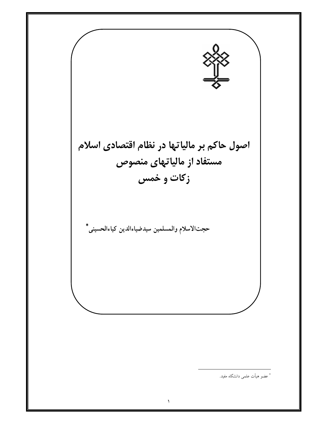

<sup>\*</sup> عضو هیأت علمی دانشگاه مفید.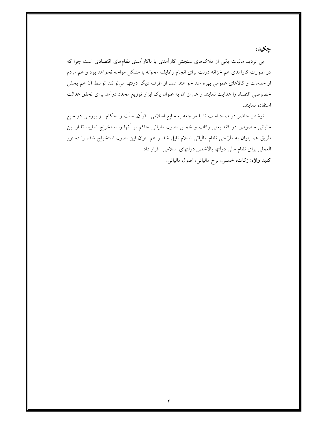چکیده

بی تردید مالیات یکی از ملاکهای سنجش کارآمدی یا ناکارآمدی نظامهای اقتصادی است چرا که در صورت کارآمدی هم خزانه دولت برای انجام وظایف محوله با مشکل مواجه نخواهد بود و هم مردم از خدمات و کالاهای عمومی بهره مند خواهند شد. از طرف دیگر دولتها میتوانند توسط آن هم بخش خصوصی اقتصاد را هدایت نمایند و هم از آن به عنوان یک ابزار توزیع مجدد درآمد برای تحقق عدالت استفاده نمايند.

نوشتار حاضر در صدد است تا با مراجعه به منابع اسلامی– قرآن، سنّت و احکام– و بررسی دو منبع مالیاتی منصوص در فقه یعنی زکات و خمس اصول مالیاتی حاکم بر آنها را استخراج نمایید تا از این طریق هم بتوان به طرّاحی نظام مالیاتی اسلام نایل شد و هم بتوان این اصول استخراج شده را دستور العملی برای نظام مالی دولتها بالاخص دولتهای اسلامی- قرار داد. **کلید واژه:** زکات، خمس، نرخ مالیاتی، اصول مالیاتی.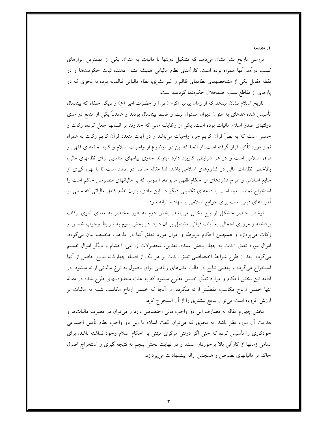۱. مقدمه

بررسی تاریخ بشر نشان میدهد که تشکیل دولتها با مالیات به عنوان یکی از مهمترین ابزارهای کسب درآمد آنها همراه بوده است. کارآمدی نظام مالیاتی همیشه نشان دهنده ثبات حکومتها و در نقطه مقابل یکی از مشخصههای نظامهای ظالم و غیر بشری، نظام مالیاتی ظالمانه بوده به نحوی که در پارهای از مقاطع سبب اضمحلال حکومتها گردیده است.

تاریخ اسلام نشان میدهد که از زمان پیامبر اکرم (ص) و حضرت امیر (ع) و دیگر خلفاء که بیتالمال تأسیس شده عدهای به عنوان دیوان مسئول ثبت و ضبط بیتالمال بودند و عمدتاً یکی از منابع درآمدی دولتهای صدر اسلام مالیات بوده است. یکی از وظایف مالی که خداوند بر انسانها جعل کرده، زکات و خمس است که به نصٌ قرآن کریم جزء واجبات میباشد و در آیات متعدد قرآن کریم زکات به همراه نماز مورد تأکید قرار گرفته است. از آنجا که این دو موضوع از واجبات اسلام و کلیه نحلههای فقهی و فرق اسلامی است و در هر شرایطی کاربرد دارد میتواند حاوی پیامهای مناسبی برای نظامهای مالی، بالاخص نظامات مالی در کشورهای اسلامی باشد. لذا مقاله حاضر در صدد است تا با بهره گیری از منابع اسلامی و طرح فشردهای از احکام فقهی مربوطه، اصولی که بر مالیاتهای منصوص حاکم است را استخراج نماید. امید است با قدمهای تکمیلی دیگر در این وادی، بتوان نظام کامل مالیاتی که مبتنی بر آموزههای دینی است برای جوامع اسلامی پیشنهاد و ارائه شود.

نوشتار حاضر متشکل از پنج بخش میباشد. بخش دوم به طور مختصر به معنای لغوی زکات پرداخته و مروری اجمالی به آیات قرآنی مشتمل بر آن دارد. در بخش سوم به شرایط وجوب خمس و زکات میپردازد و همچنین احکام مربوطه و اموال مورد تعلق آنها در مذاهب مختلف بیان میگردد. اموال مورد تعلق زکات به چهار بخش عمده، نقدین، محصولات زراعی، احشام و دیگر اموال تقسیم میگردد. بعد از طرح شرایط اختصاصی تعلق زکات بر هر یک از اقسام چهارگانه نتایج حاصل از آنها استخراج می گردد و بعضی نتایج در قالب مدلهای ریاضی برای وصول به نرخ مالیاتی ارائه میشود. در ادامه این بخش احکام و موارد تعلّق خمس مطرح میشود که به علت محدودیتهای طرح شده در مقاله تنها خمس ارباح مکاسب مفصّلتر ارائه میگردد. از آنجا که خمس ارباح مکاسب شبیه به مالیات بر ارزش افزوده است می توان نتایج بیشتری را از آن استخراج کرد.

بخش چهارم مقاله به مصارف این دو واجب مالی اختصاص دارد و میتوان در مصرف مالیاتها و هدایت آن مورد نظر باشد. به نحوی که میتوان گفت اسلام با این دو واجب نظام تأمین اجتماعی خودکاری را تأسیس کرده که حتی اگر دولتی مرکزی مبتنی بر احکام اسلام وجود نداشته باشد، برای تمامی زمانها از کارآئی بالا برخوردار است. و در نهایت بخش پنجم به نتیجه گیری و استخراج اصول حاکم بر مالیاتهای نصوص و همچنین ارائه پیشنهادات میپردازد.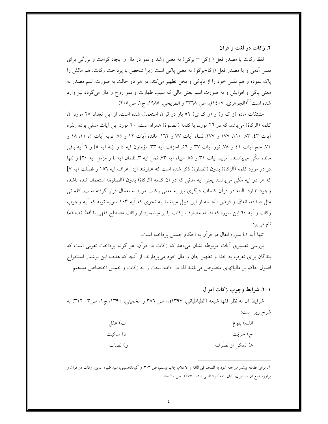۲. زکات در لغت و قرآن

لفظ زکات یا مصدر فعل ( زکی – یزکی) به معنی رشد و نمو در مال و ایجاد کرامت و بزرگی برای نفس اّدمی و یا مصدر فعل (زکا–یزکو) به معنی پاکی است زیرا شخص با پرداخت زکات، هم مالش را پاک نموده و هم نفس خود را از ناپاکی و بخل تطهیر میکند. در هر دو حالت به صورت اسم مصدر به معنی پاکی و افزایش و به صورت اسم یعنی مالی که سبب طهارت و نمو روح و مال میگردد نیز وارد شده است<sup>(۱)</sup>(الجوهري، ۱٤۰۷ق، ص ۲۳٦۸ و الطريحي، ۱۹۸۵، ج۱، ص۲۰۵)

مشتقات ماده (ز ک و) و (ز ک ی) ٥٩ بار در قرآن استعمال شده است. از این تعداد ٢٨ مورد آن كلمه (الزكاة) مي باشد كه در ٢٦ مورد، با كلمه (الصلوة) همراه است. ٢٠ مورد اين آيات مدنى بوده [بقره آيات ٤٣، ٨٣، ١١٠، ١٧٧ و ٢٧٧. نساء آيات ٧٧ و ١٦٢. مائده آيات ١٢ و ٥٥. توبه آيات ٥، ١١، ١٨ و ٧١. حج آيات ٤١ و ٧٨. نور آيات ٣٧ و ٥٦. احزاب آيه ٣٣. مؤمنون آيه ٤ و بيّنه آيه ٥] و ٦ آيه باقي مانده مكَّى مي باشند. [مريم آيات ٣١ و ٥٥. انبياء آيه ٧٣. نمل آيه ٣. لقمان آيه ٤ و مزَّمل آيه ٢٠] و تنها در دو مورد كلمه (الزكاة) بدون (الصلوة) ذكر شده است كه عبارتند از: [اعراف آيه ١٥٦ و فصَّلت آيه ٧] كه هر دو آيه مكَّى مي باشند يعني آيه مدني كه در آن كلمه (الزكاة) بدون (الصلوة) استعمال شده باشد، وجود ندارد. البته در قرأن كلمات ديگرى نيز به معنى زكات مورد استعمال قرار گرفته است. كلماتى مثل صدقه، انفاق و قرض الحسنه از این قبیل میباشند به نحوی که آیه ۱۰۳ سوره توبه که آیه وجوب زكات و آيه ٦٠ اين سوره كه اقسام مصارف زكات را بر ميشمارد از زكات مصطلح فقهي با لفظ (صدقه) نام می بر د.

تنها آيه ٤١ سوره انفال در قرآن به احكام خمس پرداخته است.

بررسی تفسیری أیات مربوطه نشان میدهد که زکات در قرأن، هر گونه پرداخت تقربی است که بندگان برای تقرب به خدا و تطهیر جان و مال خود میپردازند. از آنجا که هدف این نوشتار استخراج اصول حاکم بر مالیاتهای منصوص میباشد لذا در ادامه، بحث را به زکات و خمس اختصاص میدهیم.

١-٢. شرايط وجوب زكات اموال

شرايط أن به نظر فقها شيعه (الطباطبائي، ١٣٩٧ق، ص ٣٨٦ و الخميني، ١٣٩٠، ج١، ص٣– ٣١٢) به شرح زير است:

| ب) عقل   | الف) بلوغ         |
|----------|-------------------|
| د) ملكيت | ج) حريّت          |
| و) نصاب  | ه( تمكن از تصُّرف |

١. براي مطالعه بيشتر مراجعه شود به المنجد في اللغة و الاعلام، چاپ بيستم، ص ٣٠٣، و كياءالحسيني، سيد ضياء الدين، زكات در قرآن و برآورد تابع آن در ایران، پایان نامه کارشناسی ارشد، ۱۳۷۷، ص ۲۰ –۵.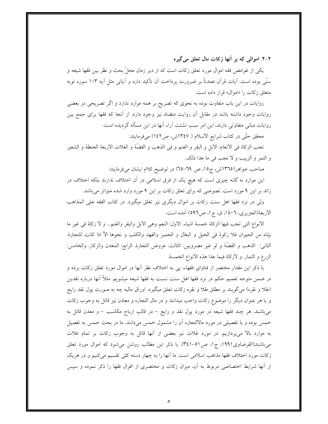۲-۲. اموالی که بر آنها زکات مال تعلق می گیرد

یکی از غوامض فقه اموال مورد تعلق زکات است که از دیر زمان محلّ بحث و نظر بین فقها شیعه و سنّی بوده است. آیات قرآن عمدتاً بر ضرورت پرداخت آن تأکید دارد و آیاتی مثل آیه ۱۰۳ سوره توبه متعلق زكات را «اموال» قرار داده است.

روایات در این باب متفاوت بوده به نحوی که تصریح بر همه موارد ندارد و اگر تصریحی در بعضی روایات وجود داشته باشد در مقابل آن روایت متضاد نیز وجود دارد. از آنجا که فقها برای جمع بین روایات مبانی متفاوتی دارند، این امر سبب تشتت آراء آنها در این مسأله گردیده است.

محقق حلَّى در كتاب شرايع الاسلام ( ١٣٤٧ش، ص١٤٢) مىفرمايند:

تجب الزكاة في الانعام: الابل و البقر و الغنم و في الذهب و الفضَّهْ و الغلات الاربعهٔ الحنطهٔ و الشعير و التمر و الزبيب و لا تجب في ما عدا ذلك.

صاحب جواهر(١٣٦٥ش، ج١٥، ص ٦٩-٦٥) در توضيح كلام ايشان مىفرمايند:

این موارد نه گانه چیزی است که هیچ یک از فرق اسلامی در آن اختلاف ندارند بلکه اختلاف در زائد بر این ۹ مورد است. نصوصی که برای تعلق زکات بر این ۹ مورد وارد شده متواتر میباشد.

ولی در نزد فقها اهل سنت زكات بر اموال دیگری نیز تعلق میگیرد. در كتاب الفقه علی المذاهب الاربعةْ(الجزيري، ١٤٠٦، ق، ج١، ص٥٩٦) آمده است:

الانواع التي تجب فيها الزكاة خمسة اشياء. الاول: النعم وهي الابل والبقر والغنم... و لا زكاة في غير ما بيّناه من الحيوان فلا زكوة في الخيل و البغال و الحمير والفهد والكلب و نحوها الأ اذا كانت للتجارة. الثاني: الذهب و الفضَّهْ و لو غير مضروبين. الثالث: عروض التجارة. الرابع: المعدن والركاز. والخامس: الزرع و الثمار. و لازكاهٔ فیما عدا هذه الانواع الخمسهٔ.

با ذکر این مقدار مختصر از فتاوای فقهاء، پی به اختلاف نظر آنها در اموال مورد تعلق زکات برده و در ضمن متوجه تعمیم حکم در نزد فقها اهل سنت نسبت به فقها شیعه میشویم. مثلاً آنها درباره نقدین (طلا و نقره) می گویند بر مطلق طلا و نقره زکات تعلق میگیرد. اوراق مالیه چه به صورت پول نقد رایج و یا هر عنوان دیگر را موضوع زکات واجب میدانند و در مال التجاره و معادن نیز قائل به وجوب زکات میباشند. هر چند فقها شیعه در مورد پول نقد و رایج – در قالب ارباح مکاسب – و معدن قائل به خمس بوده و با تفصیلی در مورد مالالتجاره آن را مشمول خمس میدانند. ما در بحث خمس به تفصیل به موارد بالا میپردازیم. در مورد غلات نیز بعضی از آنها قائل به وجوب زکات بر تمام غلات می باشند(القرضاوی۱۹۹۱، ج۱، ص۱۰–۳٤۱). با ذکر این مطالب روشن می شود که اموال مورد تعلق زكات مورد اختلاف فقها مذاهب اسلامي است. ما أنها را به چهار دسته كلي تقسيم ميكنيم و در هريك از أنها شرایط اختصاصی مربوط به آن، میزان زکات و مختصری از اقوال فقها را ذکر نموده و سپس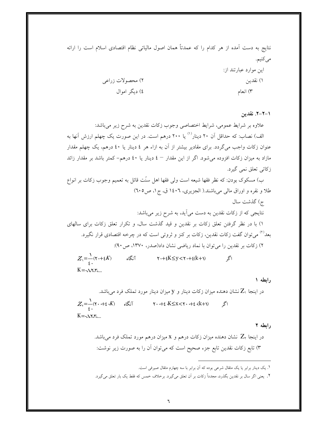| نتایج به دست آمده از هر کدام را که عمدتاً همان اصول مالیاتی نظام اقتصادی اسلام است را ارائ |                       |
|--------------------------------------------------------------------------------------------|-----------------------|
|                                                                                            | مىكنيم.               |
|                                                                                            | این موارد عبارتند از: |
| ۲) محصولات زراعي                                                                           | ۱) نقدين              |
| ٤) ديگر اموال                                                                              | ۳) انعام              |

٠١-٢-٢. نقدين

علاوه بر شرایط عمومی، شرایط اختصاصی وجوب زکات نقدین به شرح زیر میباشد: الف) نصاب: که حداقل آن ۲۰ دینار<sup>(۱)</sup> یا ۲۰۰ درهم است. در این صورت یک چهلم ارزش آنها به عنوان زکات واجب میگردد. برای مقادیر بیشتر از آن به ازاء هر ٤ دینار یا ٤٠ درهم، یک چهلم مقدار مازاد به میزان زکات افزوده می شود. اگر از این مقدار – ٤ دینار یا ٤٠ درهم– کمتر باشد بر مقدار زائد زكاتي تعلق نمي گيرد.

ب) مسکوک بودن: که نظر فقها شیعه است ولی فقها اهل سنّت قائل به تعمیم وجوب زکات بر انواع طلا و نقره و اوراق مالي ميباشند.( الجزيري، ١٤٠٦ ق، ج١، ص٢٠٥)

ج) گذشت سال نتایجی که از زکات نقدین به دست می آید، به شرح زیر می باشد: ۱) با در نظر گرفتن تعلق زكات بر نقدين و قيد گذشت سال، و تكرار تعلق زكات براي سالهاي بعد<sup>(۲)</sup> میٍتوان گفت زکات نقدین، زکات بر کنز و ثروتی است که در چرخه اقتصادی قرار نگیرد. ۲) زكات بر نقدين را مي توان با نماد رياضي نشان داد(صدر، ۱۳۷۰، ص ۹۰):  $Z_{\gamma} = \frac{1}{\epsilon}(\tau + \epsilon K)$ آنگاه  $\zeta \cdot +\xi K \leq y < \zeta \cdot +\xi(k+\zeta)$  $K = \Omega X_{\rm t}$ 

رابطه ۱ در اینجا Z, نشان دهنده میزان زکات دینار و y میزان دینار مورد تملک فرد میباشد.  $Z_{\gamma} = \frac{1}{2}(\gamma \cdot + \xi \cdot K)$  آنگاه  $\gamma \cdot + \xi \cdot K \leq x < \gamma \cdot + \xi \cdot (k + \gamma)$  $K = \Delta x \Delta x$ 

رابطه ٢

۱. یک دینار برابر یا یک مثقال شرعی بوده که آن برابر با سه چهارم مثقال صیرفی است.

٢. يعني اگر سال بر نقدين بگذرد، مجدداً زكات بر آن تعلق ميگيرد. برخلاف خمس كه فقط يك بار تعلق ميگيرد.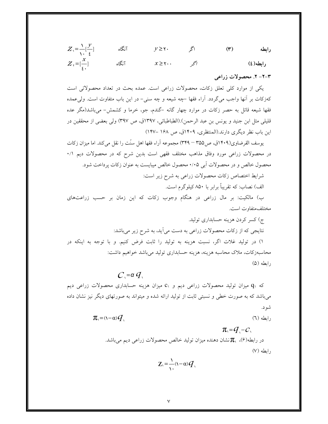| $Z_{\gamma} = \frac{1}{\gamma} \left[ \frac{y}{\xi} \right]$ | آنگاه | $y \ge \gamma$ .                     |       | $(\tau)$ | رابطه    |
|--------------------------------------------------------------|-------|--------------------------------------|-------|----------|----------|
| $Z_{\gamma}=[\frac{X}{\zeta}]$                               | آنگاه | $X \geq \mathbf{Y} \cdot \mathbf{A}$ | اصححر |          | رابطه(٤) |

#### ٣-٢- ٢. محصولات زراعي

یکی از موارد کلی تعلق زکات، محصولات زراعی است. عمده بحث در تعداد محصولاتی است کهزکات بر آنها واجب میگردد. آراء فقها –چه شیعه و چه سنی– در این باب متفاوت است. ولیءمده فقها شیعه قائل به حصر زکات در موارد چهار گانه –گندم، جو، خرما و کشمش- میباشد(مگر عده قليلي مثل ابن جنيد و يونس بن عبد الرحمن).(الطباطبائي، ١٣٩٧ق، ص ٣٩٧) ولي بعضي از محققين در این باب نظر دیگری دارند.(المنتظری، ۱۴۰۹ق، ص ۱۶۸ –۱۴۷)

يوسف القرضاوي(١۴٠٩ق، ص٣٥۵ – ٣۴٩) مجموعه آراء فقها اهل سنّت را نقل مي كند. اما ميزان زكات در محصولات زراعی مورد وفاق مذاهب مختلف فقهی است بدین شرح که در محصولات دیم ۰/۱ محصول خالص و در محصولات آبی ۰/۰۵ محصول خالص میبایست به عنوان زکات پرداخت شود.

شرایط اختصاص زکات محصولات زراعی به شرح زیر است:

الف) نصاب: که تقریباً برابر با ۸۵۰ کیلوگرم است.

ب) مالکیت: بر مال زراعی در هنگام وجوب زکات که این زمان بر حسب زراعتهای مختلف متفاوت است.

 $C = \alpha G$ که  $q_1$  میزان تولید محصولات زراعی دیم و  $c_1$  میزان هزینه حسابداری محصولات زراعی دیم میباشد که به صورت خطی و نسبتی ثابت از تولید ارائه شده و میتواند به صورتهای دیگر نیز نشان داده شو د.

- $\pi_{\mathcal{A}} = (\mathcal{A} \alpha) \mathcal{A}$ .  $(7)$  رابطه
	- $\pi = 0, -c$ در رابطه(۶)،  $\pi$ نشان دهنده میزان تولید خالص محصولات زراعی دیم میباشد.  $(V)$  وابطه

 $Z_0 = \frac{1}{\lambda_0} (1 - \alpha) Q_0$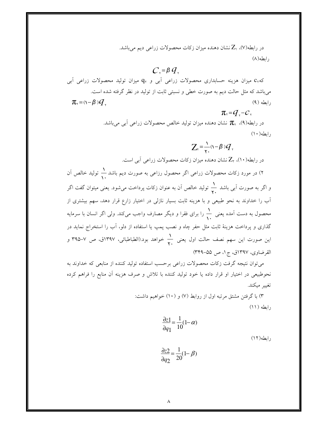در رابطه(۷)، Z نشان دهنده میزان زکات محصولات زراعی دیم میباشد. رابطه(۸)

# $C = \beta G$

که،C میزان هزینه حسابداری محصولات زراعی آبی و q<sub>۲</sub> میزان تولید محصولات زراعی آبی میباشد که مثل حالت دیم به صورت خطی و نسبتی ثابت از تولید در نظر گرفته شده است.  $\pi_{\mathbf{r}} = (\mathbf{v} - \mathbf{\beta}) q_{\mathbf{r}}$  $(9)$  وابطه

 $\pi_{\mathbf{v}} = \mathbf{Q}_{\mathbf{v}} - \mathbf{C}_{\mathbf{v}}$ 

در رابطه(۹)،  $\pi_{\rm v}$  نشان دهنده میزان تولید خالص محصولات زراعی آبی میباشد.  $(1 \cdot)$ ابطه

 $Z_{\rm v} = \frac{1}{2}(\sqrt{-\beta})q_{\rm v}$ 

در رابطه(۱۰)، Z, نشان دهنده میزان زکات محصولات زراعی آبی است. ۲) در مورد زکات محصولات زراعی اگر محصول رزاعی به صورت دیم باشد <mark>۱</mark> تولید خالص آن

و اگر به صورت اَبی باشد ہے تولید خالص اَن به عنوان زکات پرداخت میشود. یعنی میتوان گفت اگر آب را خداوند به نحو طبیعی و با هزینه ثابت بسیار نازلی در اختیار زارع قرار دهد، سهم بیشتری از محصول به دست آمده یعنی ہے را برای فقرا و دیگر مصارف واجب میکند. ولی اگر انسان با سرمایه گذاری و یرداخت هزینهٔ ثابت مثل حفر چاه و نصب یمپ یا استفاده از دلو، آب را استخراج نماید در این صورت این سهم نصف حالت اول یعنی به خواهد بود.(الطباطبائی، ۱۳۹۷ق، ص ۷–۳۹۵ و القرضاوي، ١٣٩٧ق، ج١، ص ٥۵-٣۴٩)

می توان نتیجه گرفت زکات محصولات زراعی برحسب استفاده تولید کننده از منابعی که خداوند به نحوطبیعی در اختیار او قرار داده یا خود تولید کننده با تلاش و صرف هزینه آن منابع را فراهم کرده تغيير ميكند.

> ۳) با گرفتن مشتق مرتبه اول از روابط (۷) و (۱۰) خواهیم داشت:  $(11)$  ابطه

$$
\frac{\partial z}{\partial q_1} = \frac{1}{10}(1-\alpha)
$$

رابطه (١٢)

$$
\frac{\partial z}{\partial q_2} = \frac{1}{20}(1-\beta)
$$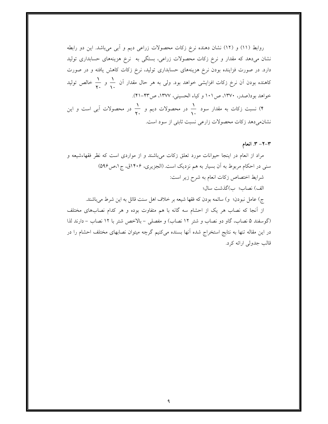روابط (١١) و (١٢) نشان دهنده نرخ زكات محصولات زراعي ديم و آبي ميباشد. اين دو رابطه نشان میدهد که مقدار و نرخ زکات محصولات زراعی، بستگی به نرخ هزینههای حسابداری تولید دارد. در صورت فزاینده بودن نرخ هزینههای حسابداری تولید، نرخ زکات کاهش یافته و در صورت کاهنده بودن آن نرخ زکات افزایشی خواهد بود. ولی به هر حال مقدار آن ہے و کے خالص تولید خواهد بود(صدر، ۱۳۷۰، ص۱۰۱ و کیاء الحسینی، ۱۳۷۷، ص۴۲-۴۱).

۴) نسبت زکات به مقدار سود ۱<sub>۰۰</sub> در محصولات دیم و ۲<sub>۰۰</sub> در محصولات آب<sub>ی</sub> است و این نشان میدهد زکات محصولات زارعی نسبت ثابتی از سود است.

#### ۳-۲- ۳. انعام

مراد از انعام در اینجا حیوانات مورد تعلق زکات میباشند و از مواردی است که نظر فقهاءشیعه و سنی در احکام مربوط به اَن بسیار به هم نزدیک است. (الجزیری، ۱۴۰۶ق، ج۱،ص۵۹۶) شرايط اختصاص زكات انعام به شرح زير است: الف) نصاب؛ ب)گذشت سال؛ ج) عامل نبودن؛ و) سائمه بودن كه فقها شيعه بر خلاف اهل سنت قائل به اين شرط مي باشند. از آنجا که نصاب هر یک از احشام سه گانه با هم متفاوت بوده و هر کدام نصابهای مختلف (گوسفند ۵ نصاب، گاو دو نصاب و شتر ۱۲ نصاب) و مفصلی – بالاخص شتر با ۱۲ نصاب – دارند لذا در این مقاله تنها به نتابج استخراج شده آنها بسنده میکنیم گرچه میتوان نصابهای مختلف احشام را در قالب جدولي ارائه كړد.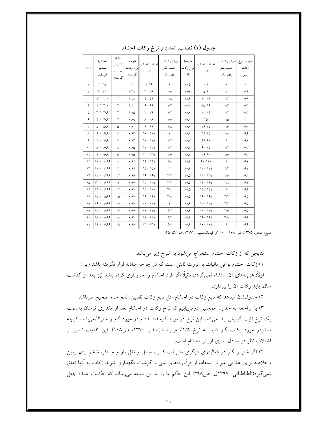| رديف          | تعداد يا<br>نصاب<br>گوسفند  | ميزان<br>زكات بر<br>حسب<br>گوسفند | متوسط<br>نرخ زكات<br>گوسفند | تعداد يا نصاب<br>گاو     | میزان زکات بر<br>حسب گاو<br>چهارساله | متوسط<br>نرخ زكات<br>گاو | تعداد يا نصاب<br>شتر            | میزان زکات بر<br>حسب شتر<br>چهارساله | متوسط نرخ<br>زكات<br>شتر |
|---------------|-----------------------------|-----------------------------------|-----------------------------|--------------------------|--------------------------------------|--------------------------|---------------------------------|--------------------------------------|--------------------------|
| $\lambda$     | $1-\mu q$                   | $\bullet$                         | $\bullet$                   | $Y-1$                    | $\bullet$                            | 1/VQ                     | $-1$                            | $\star$                              | $\bullet$                |
| ۲             | $Y - Y$                     | $\lambda$                         | 1/T <sub>A</sub>            | $r - rq$                 | $\cdot$ /۶                           | ۱۱۶۴                     | $0 - 9$                         | $\cdot/$                             | 1/49                     |
| ٣             | $171 - 7 \cdot \cdot$       | ٢                                 | 1/7 <sub>A</sub>            | 4.09                     | $\cdot/\Lambda$                      | $1/\lambda$ ۶            | $1 - 14$                        | $\cdot/7$                            | 1/99                     |
| ۴             | $Y \cdot 1 - Y \cdot \cdot$ | ٣                                 | 1/71                        | $8. - 89$                | $1/\Upsilon$                         | $1/\lambda\lambda$       | $10 - 19$                       | $\cdot$ /۳                           | 1/VA                     |
| ۵             | $5 - 1 - 799$               | ۴                                 | 1/10                        | $V - V9$                 | $1/\mathfrak{F}$                     | 1/9.                     | $Y - YY$                        | $\cdot$ /۴                           | $1/\Lambda$ ۳            |
| ۶             | $F - - 49$                  | ۴                                 | ۰/۸۹                        | $\Lambda$ • $-\Lambda$ 9 | $1/\hat{r}$                          | ۱/۹۱                     | ۲۵                              | $\cdot/\Delta$                       | $\mathsf{r}$             |
| V             | $0 \cdot -099$              | ۵                                 | $\cdot$ /91                 | $9 - 99$                 | $1/\Lambda$                          | 1/97                     | $Y^{\varphi} - Y^{\varphi}$     | $\cdot$ /۶                           | $1/9\Lambda$             |
| Λ             | $9.1 - 999$                 | ۶                                 | $\cdot$ /9٣                 | $1 - - 1 - 9$            | ٢                                    | 1/97                     | $r_{5-\tau_{0}}$                | $\cdot/\Lambda$                      | 1/99                     |
| ٩             | $V \cdot - V 99$            | ٧                                 | ۰/۹۴                        | $11 - 119$               | Y/Y                                  | 1/95                     | $*_{\mathcal{S}-\mathcal{S}}$ . | $\sqrt{ }$                           | 1/9.                     |
| $\mathcal{L}$ | $\wedge \cdot - \wedge 99$  | Λ                                 | ۰٬۹۵                        | $11 - 179$               | Y/Y                                  | 1/91                     | $91 - VQ$                       | 1/7                                  | 1/VV                     |
| $\mathcal{L}$ | $9.1 - 999$                 | ٩                                 | .40                         | $11 - 119$               | $Y/\hat{Y}$                          | 1/91                     | $V^{\varphi} - 9$               | 1/9                                  | 1/91                     |
| ۱۲            | $1 - - - - 1$               | ١٠                                | .499                        | $14. - 149$              | $Y/\Lambda$                          | 1/94                     | $91 - 17.$                      | $\Upsilon$                           | 1/9.                     |
| $\Upsilon$    | 111199                      | ۱۱                                | ۰٬۹۶                        | $10 - 109$               | ٣                                    | 1/94                     | $111 - 179$                     | $\Upsilon/\Upsilon$                  | 1/97                     |
| $\gamma$      | $111 - 1199$                | ۱۲                                | $\cdot$ /98                 | $19 - 199$               | $\mathbf{r}/\mathbf{r}$              | 1/90                     | $11 - 119$                      | $Y/\mathcal{G}$                      | 1/95                     |
| ۱۵            | 14.1799                     | $\Upsilon$                        | $\cdot$ /9 $\vee$           | $1V - 1V9$               | $\mathbf{r}/\mathbf{r}$              | 1/90                     | $14. - 149$                     | $Y/\Lambda$                          | 1/94                     |
| ۱۶            | $14.1 + 149$                | ۱۴                                | $\cdot$ /9 $\vee$           | $1\Lambda - 1\Lambda$ ۹  | $\mathbf{r}/\mathbf{s}$              | 1/90                     | $10 - 109$                      | ٣                                    | 1/94                     |
| $\mathsf{V}$  | $10.1 - 1099$               | ۱۵                                | $\cdot$ /9 $\vee$           | $19 - 199$               | $\mathsf{r}/\mathsf{A}$              | 1/90                     | $18 - 189$                      | $\mathbf{r}/\mathbf{r}$              | 1/90                     |
| ۱۸            | $19.1 - 1999$               | ۱۶                                | $\cdot$ /9 $\vee$           | $Y \cdot -Y \cdot 9$     | ۴                                    | 1/99                     | $1V - 1V9$                      | $\mathbf{r}/\mathbf{r}$              | 1/90                     |
| ۱۹            | $11.1 - 11.1$               | $\vee$                            | $\cdot$ /9 $\vee$           | $Y1 - Y19$               | Y/Y                                  | 1/99                     | $\Lambda - \Lambda$             | $\mathbf{r}/\mathbf{s}$              | 1/90                     |
| ۲۰            | $PPA/- \cdot A/-$           | ١٨                                | $\cdot$ /9 $\vee$           | $YY - YY9$               | 4/4                                  | 1/99                     | $19 - 199$                      | $\mathsf{r}/\mathsf{A}$              | 1/99                     |
| ۲۱            | $19 - -1999$                | ۱۹                                | $\cdot$ /٩ $\wedge$         | $rr - rrq$               | 4/9                                  | 1/99                     | $y \cdot y - y \cdot y$         | ۴                                    | 1/99                     |

جدول (١) نصاب، تعداد و نرخ زكات احشام

.<br>منبع: صدر، ۱۳۷۵، ص ۱۰۸ – ۱۰۰و کیاءالحسینی، ۱۳۷۷، ص ۵۷–۴۵.

نتایجی که از زکات احشام استخراج میشود به شرح زیر میباشد

۱) زکات احشام نوعی مالیات بر ثروت ثابتی است که در چرخه مبادله قرار نگرفته باشد زیرا:

اولاً: هزینههای آن استثناء نمی گردد؛ ثانیاً: اگر فرد احشام را خریداری کرده باشد نیز بعد از گذشت سال، باید زکات آن را بیردازد.

۲) جدولنشان میدهد که تابع زکات در احشام مثل تابع زکات نقدین، تابع جزء صحیح میباشد.

۳) با مراجعه به جدول همچنین درمییابیم که نرخ زکات در احشام بعد از مقداری نوسان بهسمت یک نرخ ثابت گرایش پیدا میکند. این نرخ در مورد گوسفند ۱٪ و در مورد گاو و شتر۲٪میباشد گرچه صدردر مورد زكات گاو قايل به نرخ ١/٥٪ مى باشند(صدر، ١٣٧٠، ص١٠٨). اين تفاوت ناشى از اختلاف نظر در معادل سازی ارزش احشام است.

۴) اگر شتر و گاو در فعالیتهای دیگری مثل آب کشی، حمل و نقل بار و مسافر، شخم زدن زمین وخلاصه برای اهدافی غیر از استفاده از فرأوردههای لبنی و گوشت، نگهداری شوند زکات به آنها تعلق نمیگیرد(الطباطبائی، ۱۳۹۷ق، ص۳۹۸) این حکم ما را به این نتیجه می رساند که حکمت عمده جعل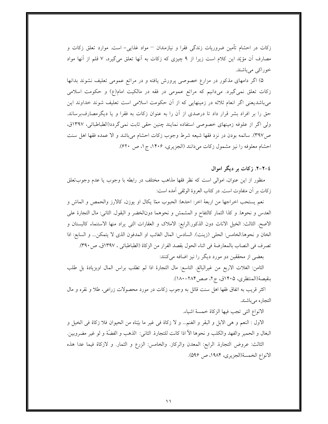زكات در احشام تأمين ضروريات زندگي فقرا و نيازمندان – مواد غذايي- است. موارد تعلق زكات و مصارف آن مؤیّد این کلام است زیرا از ۹ چیزی که زکات به آنها تعلق میگیرد، ۷ قلم از آنها مواد خوراکي مي باشند.

۵) اگر دامهای مذکور در مزارع خصوصی پرورش یافته و در مراتع عمومی تعلیف نشوند بدانها زکات تعلق نمی گیرد. میدانیم که مراتع عمومی در فقه در مالکیت امام(ع) و حکومت اسلامی میباشدیعنی اگر انعام ثلاثه در زمینهایی که از آن حکومت اسلامی است تعلیف شوند خداوند این حق را بر افراد بشر قرار داد تا درصدی از آن را به عنوان زکات به فقرا و یا دیگرمصارفبرساند. ولي اگر از علوفه زمينهاي خصوصي استفاده نمايند چنين حقي ثابت نمي گردد(الطباطبائي، ١٣٩٧ق، ص٣٩٧). سائمه بودن در نزد فقها شيعه شرط وجوب زكات احشام مي باشد و الا عمده فقها اهل سنت احشام معلوفه را نيز مشمول زكات مي دانند (الجزيري، ١۴٠۶، ج١، ص ۶۲۰).

## ٤–٢-٢. زكات بر ديگر اموال

منظور از این عنوان، اموالی است که نظر فقها مذاهب مختلف در رابطه با وجوب یا عدم وجوبتعلق زكات بر أن متفاوت است. در كتاب العروة الوثقى أمده است:

نعم يستحب اخراجها من اربعهٔ اخر: احدها: الحبوب ممّا يكال او يوزن، كالارز والحمص و الماش و العدس و نحوها. و كذا الثمار كالتفاح و المشمش و نحوهما دونالخضر و البقول. الثاني: مال التجارة على الاصح. الثالث: الخيل الاناث دون الذكور الرابع: الاملاك و العقارات التي يراد منها الاستنماء كالبستان و الخان و نحوها الخامس: الحلي (زينت). السادس: المال الغائب او المدفون الذي لا يتمكن... و السابع: اذا تصرف في النصاب بالمعارضة في اثناء الحول بقصد الفرار من الزكاة (الطباطبائي ، ١٣٩٧ق، ص٣٩٠).

بعضی از محققین دو مورد دیگر را نیز اضافه میکنند:

الثامن: الغلات الاربع من غيرالبالغ. التاسع: مال التجارة اذا لم تطلب براس المال اوبزيادة بل طلب بنقيصة(المنتظري، ١۴٠۵ق، ج٢، صص١٨٤-١٨٠).

اکثر قریب به اتفاق فقها اهل سنت قائل به وجوب زکات در مورد محصولات زراعی، طلا و نقره و مال التجاره مي باشند.

الانواع التي تجب فيها الزكاة خمسهٔ اشياء.

الاول : النعم و هي الابل و البقر و الغنم... و لا زكاة في غير ما بيّناه من الحيوان فلا زكاة في الخيل و البغال و الحمير والفهد والكلب و نحوها الأ اذا كانت للتجارة. الثاني: الذهب و الفضَّهْ و لو غير مضروبين. الثالث: عروض التجارة. الرابع: المعدن والركاز. والخامس: الزرع و الثمار. و لازكاة فيما عدا هذه الانواع الخمسة(الجزيري، ١٩٨۴، ص ٥٩۶).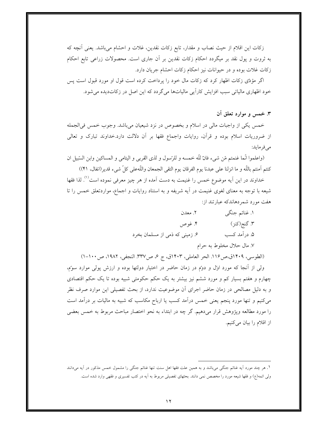زكات اين اقلام از حيث نصاب و مقدار، تابع زكات نقدين، غلات و احشام مي باشد. يعني أنچه كه به ثروت و پول نقد بر میگردد احکام زکات نقدین بر آن جاری است. محصولات زراعی تابع احکام زكات غلات بوده و در حيوانات نيز احكام زكات احشام جريان دارد.

اگر مؤدّى زكات اظهار كرد كه زكات مال خود را پرداخت كرده است قول او مورد قبول است پس خودِ اظهاری مالیاتی سبب افزایش کارآیی مالیاتها می گردد که این اصل در زکاتدیده می شود.

۳. خمس و موارد تعلق آن

خمس یکی از واجبات مالی در اسلام و بخصوص در نزد شیعیان میباشد. وجوب خمس فی|لجمله از ضروریات اسلام بوده و قرآن، روایات واجماع فقها بر أن دلالت دارد.خداوند تبارک و تعالی مى فر مايد:

(واعلموا انَّما غنمتم مّن شيء فانَّ للّه خمسه و للرّسول و لذي القربي و اليتامي و المساكين وابن السِّبيل ان كنتم آمنتم باللّه و ما انزلنا على عبدنا يوم الفرقان يوم التقى الجمعان واللّهعلى كلّ شيء قدير(انفال، ۴۱))

خداوند در این آیه موضوع خمس را غنیمت به دست آمده از هر چیز معرفی نموده است<sup>(۱)</sup>. لذا فقها شیعه با توجه به معنای لغوی غنیمت در آیه شریفه و به استناد روایات و اجماع، مواردتعلق خمس را تا هفت مورد شمردهاندکه عبارتند از:

| ۲. معدن                        | ۱. غنائم جنگي             |
|--------------------------------|---------------------------|
| ۴. غوص                         | ٣. گنج(کنز)               |
| ۶. زمینی که ذمی از مسلمان بخرد | ۵. درآمد کسب              |
|                                | ۷. مال حلال مخلوط به حرام |

(الطوسي، ١٢٠٩ق،ص١١۶. الحر العاملي، ١٤٠٣ق، ج ع، ص٣٣٧. النجفي، ١٩٨٢، ص١٠٠-١)

ولی از آنجا که مورد اول و دوٌم در زمان حاضر در اختیار دولتها بوده و ارزش پولی موارد سوٌم، چهارم و هفتم بسیار کم و مورد ششم نیز بیشتر به یک حکم حکومتی شبیه بوده تا یک حکم اقتصادی و به دلیل مصالحی در زمان حاضر اجرای آن موضوعیت ندارد، از بحث تفصیلی این موارد صرف نظر می کنیم و تنها مورد پنجم یعنی خمس درآمد کسب یا ارباح مکاسب که شبیه به مالیات بر درآمد است را مورد مطالعه وپژوهش قرار مىدهيم. گر چه در ابتداء به نحو اختصار مباحث مربوط به خمس بعضى از اقلام را بيان ميكنيم.

ا . هر چند مورد آیه غنائم جنگی می<sub>ن</sub>باشد و به همین علت فقها اهل سنت تنها غنائم جنگی را مشمول خمس مذکور در آیه میدانند ولی ائمه(ع) و فقها شیعه مورد را مخصص نمی دانند. بحثهای تفصیلی مربوط به اَیه در کتب تفسیری و فقهی وارد شده است.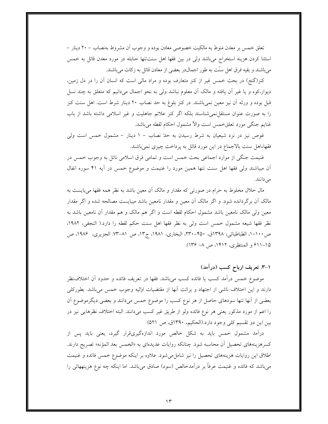تعلق خمس بر معدن منوط به مالکیت خصوصی معادن بوده و وجوب آن مشروط بهنصاب – ۲۰ دینار – استثنا کردن هزینه استخراج میباشد ولی در بین فقها اهل سنتتنها حنابله در مورد معدن قائل به خمس می باشند و بقیه فرق اهل سنّت به طور اجمالدر بعضی از معادن قائل به زکات می باشند.

کنز(گنج) در بحث خمس غیر از کنز متعارف بوده و مراد مالی است که انسان آن را در دل زمین، دیوار،کوه و یا غیر اَن یافته و مالک اَن معلوم نباشد ولی به نحو اجمال میدانیم که متعلق به چند نسل قبل بوده و ورثه آن نیز معین نمیباشند. در کنز بلوغ به حد نصاب ۲۰ دینار شرط است. اهل سنت کنز را به صورت عنوان مستقل نمی شناسند بلکه اگر کنز علائم جاهلیت و غیر اسلامی داشته باشد از باب غنايم جنگي مورد تعلقخمس است والاً مشمول احكام لقطه ميباشد.

غوص نیز در نزد شیعیان به شرط رسیدن به حدّ نصاب – ۱ دینار – مشمول خمس است ولی فقهاءاهل سنت بالاجماع در این مورد قائل به پرداخت چیزی نمی باشند.

غنيمت جنگي از موارد اجماعي بحث خمس است و تمامي فرق اسلامي نائل به وجوب خمس در آن میباشند ولی فقها اهل سنت تنها همین مورد را غنیمت و موضوع خمس در آیه ۴۱ سوره انفال می دانند.

مال حلال مخلوط به حرام در صورتی که مقدار و مالک آن معین باشد به نظر همه فقها میبایست به مالک آن برگردانده شود. و اگر مالک آن معین و مقدار نامعین باشد میبایست مصالحه شده و اگر مقدار معین ولی مالک نامعین باشد مشمول احکام لقطه است و اگر هم مالک و هم مقدار آن نامعین باشد به نظر فقها شيعه مشمول خمس است ولي به نظر فقها اهل سنت حكم لقطه را دارد.( النجفي، ١٩٨٢، ص١٠٠-١، الطباطبائي، ١٣٩٨ق، ٣٥٠-٢٣٠، البخاري، ١٩٨١، ج١٣، ص ٨١-٧٣. الجزيري، ١٩٨۶، ص ١۵–۶۱۱ و المنتظري، ١۴۱۲، ص ٨– ۱۳۶).

## ۰۱–۳. تعریف ارباح کسب (درآمد)

موضوع خمس درآمد كسب يا فائده كسب مىباشد. فقها در تعريف فائده و حدود أن اختلاف نظر دارند و این اختلاف ناشی از اجتهاد و برائت آنها از مقتضیات اولیه وجوب خمس میباشد. بطورکلی بعضی از أنها تنها سودهای حاصل از هر نوع کسب را موضوع خمس میدانند و بعضی دیگرموضوع آن را اعم از مورد مذکور یعنی هر نوع فائده ولو از طریق غیر کسب میدانند. البته اختلاف نظرهایی نیز در بين اين دو تقسيم كلي وجود دارد.(الحكيم، ١٣٩٠ق، ص ٥٢١)

درآمد مشمول خمس باید به شکل خالص مورد اندازهگیریقرار گیرد، یعنی باید پس از كسرهزينههاي تحصيل آن محاسبه شود. چنانكه روايات عديدهاي به «الخمس بعد المؤنه» تصريح دارند. اطلاق این روایات هزینههای تحصیل را نیز شامل.میشود. علاوه بر اینکه موضوع خمس فائده و غنیمت میباشد که فائده و غنیمت عرفاً بر درآمدخالص (سود) صادق میباشد. اما اینکه چه نوع هزینههائی را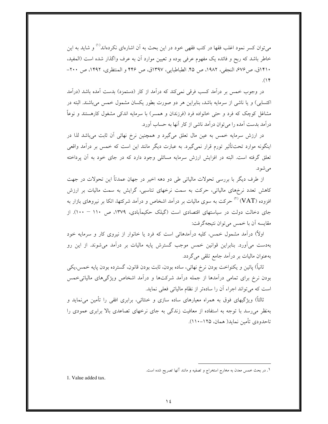میتوان کسر نمود اغلب فقها در کتب فقهی خود در این بحث به آن اشارهای نکردهاند<sup>۱٬۱</sup> و شاید به این خاطر باشد که ربح و فائده یک مفهوم عرفی بوده و تعیین موارد آن به عرف واگذار شده است (المفید، ١۴١٠ق، ص٤٧۶، النجفي، ١٩٨٢، ص ۴۵. الطباطبايي، ١٣٩٧ق، ص ۴۴۶ و المنتظري، ١۴٩٢، ص ٢٠٠- $(1)^6$ 

در وجوب خمس بر درآمد کسب فرقی نمیکند که درآمد از کار (دستمزد) بدست آمده باشد (درآمد اکتسابی) و یا ناشی از سرمایه باشد، بنابراین هر دو صورت بطور یکسان مشمول خمس می باشند. البته در مشاغل کوچک که فرد و حتی خانواده فرد (فرزندان و همسر) با سرمایه اندکی مشغول کارهستند و نوعاً درآمد بدست آمده را می توان درآمد ناشی از کار آنها به حساب آورد.

در ارزش سرمایه خمس به عین مال تعلق میگیرد و همچنین نرخ نهائی آن ثابت میباشد لذا در اینگونه موارد تحتتأثیر تورم قرار نمی گیرد. به عبارت دیگر مانند این است که خمس بر درآمد واقعی تعلق گرفته است. البته در افزایش ارزش سرمایه مسائلی وجود دارد که در جای خود به آن پرداخته می شو د.

از طرف دیگر با بررسی تحولات مالیاتی طی دو دهه اخیر در جهان عمدتاً این تحولات در جهت کاهش تعدد نرخهای مالیاتی، حرکت به سمت نرخهای تناسبی، گرایش به سمت مالیات بر ارزش افزوده (VAT) "حرکت به سوی مالیات بر درآمد اشخاص و درآمد شرکتها، اتکا بر نیروهای بازار به جای دخالت دولت در سیاستهای اقتصادی است (گیلک حکیمآبادی، ۱۳۷۹، ص ۱۱۰ – ۱۰۰). از مقايسه آن با خمس مي توان نتيجه گرفت:

اولاً) درآمد مشمول خمس، کلیه درآمدهائی است که فرد یا خانوار از نیروی کار و سرمایه خود بهدست میآورد. بنابراین قوانین خمس موجب گسترش پایه مالیات بر درآمد میشوند. از این رو بهعنوان ماليات بر درآمد جامع تلقى مى گردد.

ثانياً) پائين و يكنواخت بودن نرخ نهائي، ساده بودن، ثابت بودن قانون، گسترده بودن پايه خمس،يكي بودن نرخ برای تمامی درآمدها از جمله درآمد شرکتها و درآمد اشخاص ویژگیهای مالیاتی خمس است که می تواند اجراء آن را سادهتر از نظام مالیاتی فعلی نماید.

ثالثاً) ویژگیهای فوق به همراه معیارهای ساده سازی و خنثائی، برابری افقی را تأمین میiماید و بهنظر می رسد با توجه به استفاده از معافیت زندگی به جای نرخهای تصاعدی بالا برابری عمودی را تاحدودي تأمين نمايد( همان، ١٢۵–١١٠).

١. در بحث خمس معدن به مخارج استخراج و تصفيه و مانند آنها تصريح شده است.

<sup>1.</sup> Value added tax.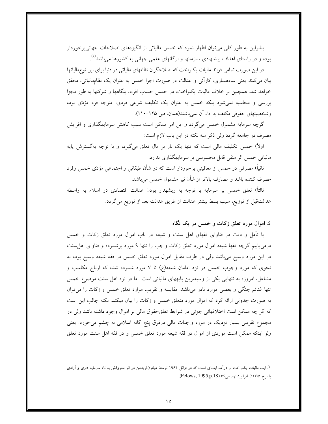بنابراین به طور کلّی می توان اظهار نمود که خمس مالیاتی از انگیزههای اصلاحات جهانی برخوردار بوده و در راستای اهداف پیشنهادی سازمانها و ارگانهای علمی جهانی به کشورها می باشد<sup>۱٬</sup>.

در این صورت تمامی فوائد مالیات یکنواخت که اصلاحگران نظامهای مالیاتی در دنیا برای این نوعِمالیاتها بیان میکنند یعنی سادهسازی، کارأئی و عدالت در صورت اجرا خمس به عنوان یک نظامِمالیاتی، محقق خواهد شد. همچنین بر خلاف مالیات یکنواخت، در خمس حساب افراد، بنگاهها و شرکتها به طور مجزا بررسی و محاسبه نمی شود بلکه خمس به عنوان یک تکلیف شرعی فردی، متوجه فرد مؤدّی بوده وشخصیتهای حقوقی مکلف به اداء آن نمیباشند(همان، ص ۱۲۵–۱۱۰).

گرچه سرمایه مشمول خمس میگردد و این امر ممکن است سبب کاهش سرمایهگذاری و افزایش مصرف در جامعه گردد ولی ذکر سه نکته در این باب لازم است:

اولاً) خمس تکلیف مالی است که تنها یک بار بر مال تعلق میگیرد، و با توجه بهگسترش پایه مالیاتی خمس اثر منفی قابل محسوسی بر سرمایهگذاری ندارد.

ثانیاً) مصرفی در خمس از معافیتی برخوردار است که در شأن طبقاتی و اجتماعی مؤدّی خمس وفرد مصرف کننده باشد و مصارف بالاتر از شأن نیز مشمول خمس میباشد..

ثالثاً) تعلق خمس بر سرمایه با توجه به ریشهدار بودن عدالت اقتصادی در اسلام به واسطه عدالتقبل از توزيع، سبب بسط بيشتر عدالت از طريق عدالت بعد از توزيع مي گردد.

#### ٤. اموال مورد تعلق زكات و خمس در يک نگاه

با تأمل و دقت در فتاوای فقهای اهل سنت و شیعه در باب اموال مورد تعلق زکات و خمس درمی،یابیم گرچه فقها شیعه اموال مورد تعلق زکات واجب را تنها ۹ مورد برشمرده و فتاوای اهل سنت در این مورد وسیع میباشد ولی در طرف مقابل اموال مورد تعلق خمس در فقه شیعه وسیع بوده به نحوی که مورد وجوب خمس در نزد امامان شیعه(ع) تا ۷ مورد شمرده شده که ارباح مکاسب و مشاغل، امروزه به تنهایی یکی از وسیعترین پایههای مالیاتی است. اما در نزد اهل سنت موضوع خمس تنها غنائم جنگی و بعضی موارد نادر میباشد. مقایسه و تقریب موارد تعلق خمس و زکات را میتوان به صورت جدولی ارائه کرد که اموال مورد متعلق خمس و زکات را بیان میکند. نکته جالب این است که گر چه ممکن است اختلافهائی جزئی در شرایط تعلقحقوق مالی بر اموال وجود داشته باشد ولی در مجموع تقریبی بسیار نزدیک در مورد واجبات مالی درفرق پنج گانه اسلامی به چشم می خورد. یعنی ولو اینکه ممکن است موردی از اموال در فقه شیعه مورد تعلق خمس و در فقه اهل سنت مورد تعلق

۲. ایده مالیات یکنواخت بر درآمد ایدهای است که در اوائل ۱۹۶۲ توسط میلتونفریدمن در اثر معروفش به نام سرمایه داری و آزادی با نرخ ٢٣/٥٪ آنرا پیشنهاد می کند(Felows, 1995,p.18).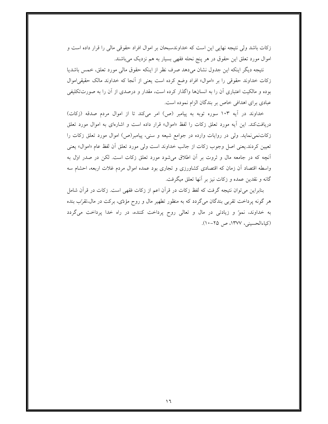زكات باشد ولي نتيجه نهايي اين است كه خداوندسبحان بر اموال افراد حقوقي مالي را قرار داده است و اموال مورد تعلق این حقوق در هر پنج نحله فقهی بسیار به هم نزدیک می باشند.

نتيجه ديگر اينكه اين جدول نشان مىدهد صرف نظر از اينكه حقوق مالى مورد تعلق، خمس باشديا زکات خداوند حقوقی را بر «اموال» افراد وضع کرده است یعنی از آنجا که خداوند مالک حقیقی|موال بوده و مالکیت اعتباری آن را به انسانها واگذار کرده است، مقدار و درصدی از آن را به صورتتکلیفی عبادی برای اهدافی خاص بر بندگان الزام نموده است.

خداوند در آيه ۱۰۳ سوره توبه به پيامبر (ص) امر ميكند تا از اموال مردم صدقه (زكات) دریافتکند. این آیه مورد تعلق زکات را لفظ «اموال» قرار داده است و اشارهای به اموال مورد تعلق زكاتنمي نمايد. ولي در روايات وارده در جوامع شيعه و سني، پيامبر(ص) اموال مورد تعلق زكات را تعيين كردند.يعني اصل وجوب زكات از جانب خداوند است ولي مورد تعلق أن لفظ عام «اموال» يعني آنچه که در جامعه مال و ثروت بر آن اطلاق میشود مورد تعلق زکات است. لکن در صدر اول به واسطه اقتصاد آن زمان که اقتصادی کشاورزی و تجاری بود عمده اموال مردم غلات اربعه، احشام سه گانه و نقدین عمده و زکات نیز بر آنها تعلق میگرفت.

بنابراین می توان نتیجه گرفت که لفظ زکات در قرآن اعم از زکات فقهی است. زکات در قرآن شامل هر گونه پرداخت تقربی بندگان میگردد که به منظور تطهیر مال و روح مؤدّی، برکت در مال،تقرّب بنده به خداوند، نموّ و زيادتي در مال و تعالى روح پرداخت كننده، در راه خدا پرداخت مي گردد (کیاءالحسینی، ۱۳۷۷، ص ۲۵-۱۰).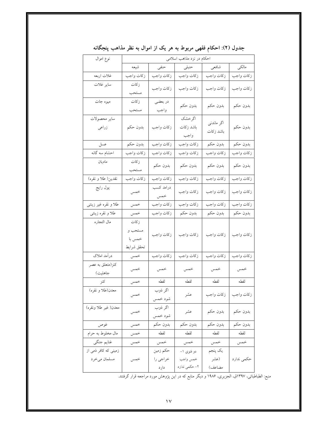| نوع اموال                            | احکام در نزد مذاهب اسلامی               |                              |                                         |                           |               |  |
|--------------------------------------|-----------------------------------------|------------------------------|-----------------------------------------|---------------------------|---------------|--|
|                                      | شيعه                                    | حنفى                         | حنبلى                                   | شافعي                     | مالكى         |  |
| غلات اربعه                           | زكات واجب                               | زكات واجب                    | زكات واجب                               | زكات واجب                 | زكات واجب     |  |
| ساير غلات                            | زكات<br>مستحب                           | زكات واجب                    | زكات واجب                               | زكات واجب                 | زكات واجب     |  |
| میوه جات                             | زكات<br>مستحب                           | در بعضي<br>واجب              | بدون حكم                                | بدون حكم                  | بدون حكم      |  |
| ساير محصولات<br>زراعى                | بدون حكم                                | زكات واجب                    | اگرخشک<br>باشد زكات<br>واجب             | اگر ماندنی<br>باشد زكات   | بدون حكم      |  |
| عسل                                  | بدون حكم                                | زكات واجب                    | زكات واجب                               | .<br>بدون حکم             | ۔<br>بدون حکم |  |
| احشام سه گانه                        | زكات واجب                               | زكات واجب                    | زكات واجب                               | زكات واجب                 | زكات واجب     |  |
| ماديان                               | زكات<br>مستحب                           | بدون حكم                     | بدون حكم                                | بدون حكم                  | بدون حكم      |  |
| نقدين( طلا و نقره)                   | زكات واجب                               | زكات واجب                    | زكات واجب                               | زكات واجب                 | زكات واجب     |  |
| پول رايج                             | خمس                                     | درامد کسب<br>خمس             | زكات واجب                               | زكات واجب                 | زكات واجب     |  |
| طلا و نقره غیر زینتی                 | خمس                                     | زكات واجب                    | زكات واجب                               | زكات واجب                 | زكات واجب     |  |
| طلا و نقره زینتی                     | خمس                                     | زكات واجب                    | بدون حكم                                | بدون حكم                  | بدون حکم      |  |
| مال التجاره                          | زكات<br>مستحب و<br>خمس با<br>تحقق شرايط | زكات واجب                    | زكات واجب                               | زكات واجب                 | زكات واجب     |  |
| درآمد املاک                          | خمس                                     | زكات واجب                    | زكات واجب                               | زكات واجب                 | زكات واجب     |  |
| كنز(متعلق به عصر<br>جاهليت)          | خمس                                     | خمس                          | خمس                                     | خمس                       | خمس           |  |
| كنز                                  | خمس                                     | لقطه                         | لقطه                                    | لقطه                      | لقطه          |  |
| معدن(طلا و نقره)                     | خمس                                     | اگر ذوب<br>شود خمس           | عشر                                     | زكات واجب                 | زكات واجب     |  |
| معدن( غير طلا ونقره)                 | خمس                                     | اگر ذوب<br>شود خمس           | عشر                                     | بدون حكم                  | بدون حكم      |  |
| غوص                                  | خمس                                     | بدون حكم                     | بدون حكم                                | بدون حكم                  | بدون حكم      |  |
| مال مخلوط به حرام                    | خمس                                     | لقطه                         | لقطه                                    | لقطه                      | لقطه          |  |
| غنايم جنگي                           | خمس                                     | خمس                          | خمس                                     | خمس                       | خمس           |  |
| زمینی که کافر ذمی از<br>مسلمان ميخرد | خمس                                     | حكم زمين<br>خراجي را<br>دارد | دو فتوی ۱–<br>خمس واجب<br>۲- حکمی ندارد | يک پنجم<br>(عشر<br>مضاعف) | حكمي ندارد    |  |

جدول (۲): احکام فقهی مربوط به هر یک از اموال به نظر مذاهب پنجگانه

منبع: الطباطبائی، ۱۳۹۷ق، الجزیری، ۱۹۸۶ و دیگر منابع که در این پژوهش مورد مراجعه قرار گرفتند.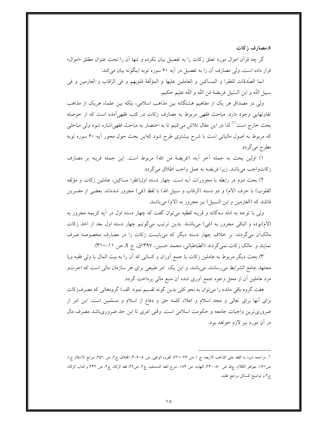٥.مصارف زكات

گر چه قرآن اموال مورد تعلق زکات را به تفصیل بیان نکرده و تنها آن را تحت عنوان مطلق «اموال» قرار داده است، ولي مصارف آن را به تفصيل در آيه ۶۰ سوره توبه اينگونه بيان مي كند:

انما الصَّدقات للفقرا و المساكين و العاملين عليها و المؤلِّفة قلوبهم و في الرِّقاب و الغارمين و في سبيل اللَّه و ابن السَّبيل فريضهٔ مّن اللَّه و اللَّه عليم حكيم.

ولی در مصداق هر یک از مفاهیم هشتگانه بین مذاهب اسلامی، بلکه بین علماء هریک از مذاهب تفاوتهایی وجود دارد. مباحث فقهی مربوط به مصارف زکات در کتب فقهی آمده است که از حوصله بحث خارج است<sup>(۱)</sup> لذا در این مقال تلاش میکنیم تا به اختصار به مباحث فقهی!شاره شود ولی مباحثی که مربوط به اصول مالیاتی است با شرح بیشتری طرح شود کهاین بحث حول محور آیه ۶۰ سوره توبه مطرح مي گردد.

١) اولين بحث به جمله آخر آيه، (فريضهٔ من الله) مربوط است. اين جمله قرينه بر مصارف زكاتواجب مي باشد. زيرا فريضه به عمل واجب اطلاق مي گردد.

۲) بحث دوم در رابطه با مجرورات آيه است. چهار دسته اول(فقرا مساكين، عاملين زكات و مؤلِّفه القلوب) با حرف (لام) و دو دسته (الرقاب و سبيل الله) با لفظ (في) مجرور شدهاند. بعضي از مفسرين قائلند که (الغارمین و ابن السبیل) نیز مجرور به (لام) میباشند.

ولي با توجه به ادله سهگانه و قرينه لفظيه مي توان گفت كه چهار دسته اول در آيه كريمه مجرور به (لام)بوده و الباقی مجرور به (فی) میباشند. بدین ترتیب میگوئیم چهار دسته اول بعد از اخذ زکات مالکآن میگردند. بر خلاف چهار دسته دیگر که میبایست زکات را در مصارف مخصوصه صرف نمايند و مالک زكات نمي گردند (الطباطبائي، محمد حسين، ١٣٩٧ق، ج ٩، ص ١١-٣١٠).

۳) بحث دیگر مربوط به عاملین زکات یا جمع آوران و کسانی که آن را به بیت المال یا ولی فقیه ویا مجتهد جامع الشرايط مىرسانند، مىباشد. و اين يک امر طبيعي براى هر سازمان مالي است که اجرتو مزد عاملین آن از محل وجوه جمع آوری شده آن منبع مالی پرداخت گردد.

هفت گروه باقی مانده را می توان به نحو کلی بدین گونه تقسیم نمود: الف) گروههائی که مصرفزکات برای آنها برای تعالی و مجد اسلام و اعلاء کلمه حق و دفاع از اسلام و مسلمین است. این امر از ضروریترین واجبات جامعه و حکومت اسلامی است. وقتی امری تا این حد ضروریباشد مصرف مال در آن مورد نیز لازم خواهد بود.

١. مراجعه شود به الفقه على المذاهب الاربعه. ج ١ ص ٢٤-٤٢١. العروه الوثقي، ص ٨-٢٠٤. الخلاف ج٢، ص ٣٥١. شرايع الاسلام ج١. ص١٩١، جواهر الكلام، ج٥، ص ٨٠-٣۴٠. النهايه، ص ١٨۴. شرح المعه الدمشقيه، ج٢، ص٤٩. فقه الزكاة، ج٢، ص ٤۴٣ و كتاب الزكاة، ج٣ و توضيح المسائل مراجع تقليد.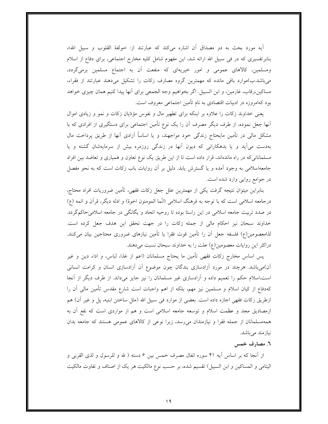آيه مورد بحث به دو مصداق آن اشاره ميكند كه عبارتند از: «مولفهٔ القلوب و سبيل الله»، بنابرتفسیری که در فی سبیل الله ارائه شد، این مفهوم شامل کلیه مخارج اجتماعی، برای دفاع از اسلام ومسلمین، کالاهای عمومی و امور خیریهای که منفعت آن به اجتماع مسلمین برمیگردد، میباشد.ب)موارد باقی مانده که مهمترین گروه مصارف زکات را تشکیل میدهند عبارتند از فقراء، مساكين،رقاب، غارمين، و ابن السبيل. اگر بخواهيم وجه الجمعي براي آنها پيدا كنيم همان چيزي خواهد بود کهامروزه در ادبیات اقتصادی به نام تأمین اجتماعی معروف است.

یعنی خداوند زکات را علاوه بر اینکه برای تطهیر مال و نفوس مؤدّیان زکات و نمو و زیادی اموال آنها جعل نموده، از طرف دیگر مصرف آن را یک نوع تأمین اجتماعی برای دستگیری از افرادی که با مشکل مالی در تأمین مایحتاج زندگی خود مواجهند، و یا اساساً آزادی آنها از طریق پرداخت مال بهدست می آید و یا بدهکارانی که دیون آنها در زندگی روزمره بیش از سرمایهشان گشته و یا مسلمانانیکه در راه ماندهاند، قرار داده است تا از این طریق یک نوع تعاون و همیاری و تعاضد بین افراد جامعهاسلامی به وجود آمده و یا گسترش یابد. دلیل بر آن روایات باب زکات است که به نحو مفصل در جوامع روايي وارد شده است.

بنابراین میتوان نتیجه گرفت یکی از مهمترین علل جعل زکات فقهی، تأمین ضروریات افراد محتاج، درجامعه اسلامی است که با توجه به فرهنگ اسلامی (انّما المومنون اخوهٔ) و ادله دیگر، قرآن و ائمه (ع) در صدد تربیت جامعه اسلامی در این راستا بوده تا روحیه اتحاد و یگانگی در جامعه اسلامیحاکمگردد. خداوند سبحان نیز احکام مالی از جمله زکات را در جهت تحقق این هدف جعل کرده است. لذامعصومین(ع) فلسفه جعل أن را تأمین قوت فقرا یا تأمین نیازهای ضروری محتاجین بیان میکنند. دراکثر این روایات معصومین(ع) علت را به خداوند سبحان نسبت میدهند.

پس اساس مخارج زكات فقهي تأمين ما يحتاج مسلمانان (اعم از غذا، لباس، و اداء دين و غير آن)میباشد. هرچند در مورد آزادسازی بندگان چون موضوع آن آزادسازی انسان و کرامت انسانی است،اسلام حکم را تعمیم داده و آزادسازی غیر مسلمانان را نیز جایز میداند. از طرف دیگر از آنجا کهدفاع از کیان اسلام و مسلمین نیز مهم، بلکه از اهم واجبات است شارع مقدس تأمین مالی آن را ازطريق زكات فقهي اجازه داده است. بعضي از موارد في سبيل الله (مثل ساختن ابنيه، پل و غير آن) هم ازمصادیق مجد و عظمت اسلام و توسعه جامعه اسلامی است و هم از مواردی است که نفع آن به همهمسلمانان از جمله فقرا و نیازمندان میرسد، زیرا نوعی از کالاهای عمومی هستند که جامعه بدان نبازمند ميباشد.

### ٦. مصارف خمس

از أنجا كه بر اساس أيه ۴۱ سوره انفال مصرف خمس بين ۶ دسته ( لله و للرسول و لذي القربي و اليتامي و المساكين و ابن السبيل) تقسيم شده، بر حسب نوع مالكيت هر يك از اصناف و تفاوت مالكيت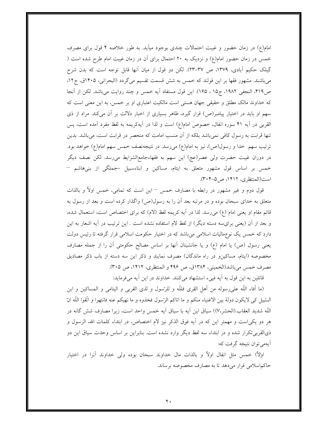امام(ع) در زمان حضور و غیبت احتمالات چندی بوجود میآید. به طور خلاصه ۴ قول برای مصرف خمس در زمان حضور امام(ع) و نزدیک به ۲۰ احتمال برای آن در زمان غیبت امام طرح شده است ( گیلک حکیم آبادی، ۱۳۷۹، ص ۳۷–۲۳). لکن دو قول از میان آنها قابل توجه است که بدن شرح میباشند. مشهور فقها بر این قولند که خمس به شش قسمت تقسیم میگردد (البحرانی، ۱۴۰۵ق، ج۱۲، ص۴۱۹، النجفي ١٩٨٢، ج١٥ ، ١۶۵). اين قول مستفاد آيه خمس و چند روايت مي باشد. لكن از آنجا که خداوند مالک مطلق و حقیقی جهان هستی است مالکیت اعتباری او بر خمس، به این معنی است که سهم او باید در اختیار پیامبر(ص) قرار گیرد، ظاهر بسیاری از اخبار دلالت بر أن میکند. مراد از ذی القربی در آیه ۴۱ سوره انفال، خصوص امام(ع) است و لذا در آیهکریمه به لفظ مفرد آمده است، پس تنها قرابت به رسول کافی نمیباشد بلکه از آن منسب امامت که منحصر در قرابت است، میباشد. بدین ترتیب سهم خدا و رسول(ص)، نیز به امام(ع) میرسد. در نتیجهنصف خمس سهم امام(ع) خواهد بود. در دوران غیبت حضرت ولی عصر(عج) این سهم به فقهاءجامع|لشرایط میرسد. لکن نصف دیگر خمس بر اساس قول مشهور متعلق به ايتام، مساكين و ابناءسبيل جملگى از بنىهاشم – است(المنتظرى، ١۴١٢، ص ٥-٣٠۴).

قول دوم و غیر مشهور در رابطه با مصارف خمس – این است که تمامی، خمس اولاً و بالذات متعلق به خدای سبحان بوده و در مرتبه بعد آن را به رسول(ص) واگذار کرده است و بعد از رسول به قائم مقام او یعنی امام (ع) می رسد. لذا در آیه کریمه لفظ (لام) که برای اختصاص است، استعمال شده، و بعد از أن (يعني برايِّسه دسته ديگر) از لفظ لام استفاده نشده است . اين ترتيب در أيه اشعار به اين دارد که خمس یک نوعِمالیات اسلامی میِباشد که در اختیار حکومت اسلامی قرار گرفته تا رئیس دولت یعنی رسول (ص) یا امام (ع) و یا جانشینان آنها بر اساس مصالح حکومتی آن را از جمله مصارف مخصوصه (ایتام، مساکین و در راه ماندگان) مصرف نمایند و ذکر این سه دسته از باب ذکر مصادیق مصرف خمس ميباشد(الخميني، ١٣٨۴ق، ص ۴۹۶ و المنتظري، ١۴١٢، ص ٣٠۵).

قائلین به این قول به آیه فییء استشهاد میکنند. خداوند در این آیه میفرماید:

(ما أفاء اللَّه على رسوله من أهل القرى فللَّه و للرِّسول و لذى القربى و اليتامى و المساكين و ابن السُّبيل كي لايكون دولة بين الاغنياء منكم و ما اتاكم الرَّسول فخذوه و ما نهيكم عنه فانتهوا و اتَّقوا اللَّه انّ اللَّه شديد العقاب.(الحشر،٧)) سياق اين أيه با سياق أيه خمس واحد است، زيرا مصارف شش گانه در هر دو يكي!ست و مهمتر اين كه در آيه فوق الذكر نيز لام اختصاص، در ابتداء كلمات الله، الرسول و ذي القربي تكرار شده و در ابتداء سه لفظ ديگر وارد نشده است. بنابراين بر اساس وحدت سياق اين دو أيهمي توان نتيجه گرفت كه:

اولاً) خمس مثل انفال اولاً و بالذات مال خداوند سبحان بوده ولي خداوند آنرا در اختيار حاكماسلامي قرار مي دهد تا به مصارف مخصوصه برساند.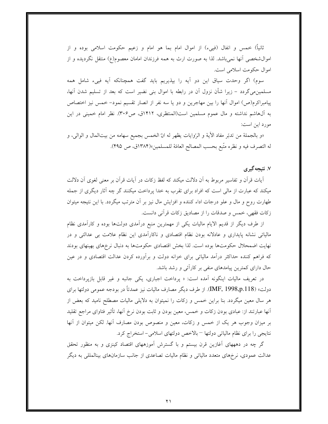ثانياً) خمس و انفال (فييء) از اموال امام بما هو امام و زعيم حكومت اسلامي بوده و از اموالشخصی آنها نمیباشد. لذا به صورت ارث به همه فرزندان امامان معصوم(ع) منتقل نگردیده و از اموال حكومت اسلامي است.

سوم) اگر وحدت سیاق این دو آیه را بپذیریم باید گفت همچنانکه آیه فییء شامل همه مسلمین.میگردد – زیرا شأن نزول آن در رابطه با اموال بنی نضیر است که بعد از تسلیم شدن آنها، پیامبراکرم(ص) اموال آنها را بین مهاجرین و دو یا سه نفر از انصار تقسیم نمود– خمس نیز اختصاص به آلهاشم نداشته و مال عموم مسلمین است(المنتظری، ۱۴۱۲ق، ص۳۰۶). نظر امام خمینی در این مورد اين است:

«و بالجملة من تدبّر مفاد الآية و الرّوايات يظهر له انّ الخمس بجميع سهامه من بيتالمال و الوالي، و له التصرف فيه و نظره متَّبع بحسب المصالح العامَّة للمسلمين»(١٣٨۴ق، ص ۴۹۵).

## ۷. نتیجه گیری

آيات قرآن و تفاسير مربوط به آن دلالت ميكند كه لفظ زكات در آيات قرآن بر معنى لغوى آن دلالت میکند که عبارت از مالی است که افراد برای تقرب به خدا پرداخت میکنند گر چه آثار دیگری از جمله طهارت روح و مال و علو درجات اداء کننده و افزایش مال نیز بر آن مترتب میگردد. با این نتیجه میتوان زكات فقهي، خمس و صدقات را از مصاديق زكات قرآني دانست.

از طرف دیگر از قدیم الایام مالیات یکی از مهمترین منبع درآمدی دولتها بوده و کارآمدی نظام مالیاتی نشانه پایداری و عادلانه بودن نظام اقتصادی و ناکارآمدی این نظام علامت بی عدالتی و در نهایت اضمحلال حکومتها بوده است. لذا بخش اقتصادی حکومتها به دنبال نرخهای بهینهای بودند که فراهم کننده حداکثر درآمد مالیاتی برای خزانه دولت و برآورده کردن عدالت اقتصادی و در عین حال دارای کمترین پیامدهای منفی بر کارائی و رشد باشد.

در تعریف مالیات اینگونه آمده است: « پرداخت اجباری، یکی جانبه و غیر قابل بازپرداخت به دولت» (IMF, 1998,p.118). از طرف ديگر مصارف ماليات نيز عمدتاً در بودجه عمومي دولتها براي هر سال معین میگردد. بنا براین خمس و زکات را نمیتوان به دلایلی مالیات مصطلح نامید که بعض از آنها عبارتند از: عبادی بودن زکات و خمس، معین بودن و ثابت بودن نرخ آنها، تأثیر فتاوای مراجع تقلید بر میزان وجوب هر یک از خمس و زکات، معین و منصوص بودن مصارف آنها. لکن میتوان از آنها نتايجي را براي نظام مالياتي دولتها –بالاخص دولتهاى اسلامي- استخراج كرد.

گر چه در دهههای آغازین قرن بیستم و با گسترش آموزههای اقتصاد کینزی و به منظور تحقق عدالت عمودی، نرخهای متعدد مالیاتی و نظام مالیات تصاعدی از جانب سازمانهای بینالمللی به دیگر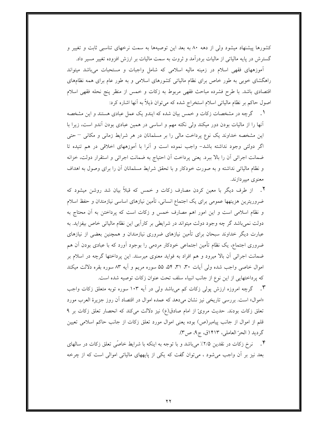کشورها پیشنهاد میشود ولی از دهه ۸۰ به بعد این توصیهها به سمت نرخهای تناسبی ثابت و تغییر و گسترش در پایه مالیاتی از مالیات بردرآمد و ثروت به سمت مالیات بر ارزش افزوده تغییر مسیر داد.

آموزههای فقهی اسلام در زمینه مالیه اسلامی که شامل واجبات و مستحبات میباشد میتواند راهگشای خوبی به طور خاص برای نظام مالیاتی کشورهای اسلامی و به طور عام برای همه نظامهای اقتصادی باشد. با طرح فشرده مباحث فقهی مربوط به زکات و خمس از منظر پنج نحله فقهی اسلام اصول حاکم بر نظام مالیاتی اسلام استخراج شده که می توان ذیلاً به آنها اشاره کرد:

۱ . گرچه در مشخصات زکات و خمس بیان شده که ایندو یک عمل عبادی هستند و این مشخصه آنها را از مالیات بودن دور میکند ولی نکته مهم و اساسی در همین عبادی بودن آندو است، زیرا با این مشخصه خداوند یک نوع پرداخت مالی را بر مسلمانان در هر شرایط زمانی و مکانی – حتی اگر دولتی وجود نداشته باشد- واجب نموده است و آنرا با آموزههای اخلاقی در هم تنیده تا ضمانت اجرائي أن را بالا ببرد. يعني پرداخت أن احتياج به ضمانت اجرائي و استقرار دولت، خزانه و نظام مالیاتی نداشته و به صورت خودکار و با تحقق شرایط مسلمانان آن را برای وصول به اهداف معنوی میپردازند.

۲. از طرف دیگر با معین کردن مصارف زکات و خمس که قبلاً بیان شد روشن میشود که ضروریترین هزینهها عمومی برای یک اجتماع انسانی، تأمین نیازهای اساسی نیازمندان و حفظ اسلام و نظام اسلامی است و این امور اهم مصارف خمس و زکات است که پرداختن به آن محتاج به دولت نمی باشد گر چه وجود دولت میتواند در شرایطی بر کارآیی این نظام مالیاتی خاص بیفزاید. به عبارت دیگر خداوند سبحان برای تأمین نیازهای ضروری نیازمندان و همچنین بعضی از نیازهای ضروری اجتماع، یک نظام تأمین اجتماعی خودکار مردمی را بوجود آورد که با عبادی بودن آن هم ضمانت اجرائی اّن بالا میرود و هم افراد به فواید معنوی میرسند. این پرداختها گرچه در اسلام بر اموال خاصی واجب شده ولی آیات ۳۰، ۳۱، ۵۴، ۵۵ سوره مریم و آیه ۸۳ سوره بقره دلالت میکند كه پرداختهايي از اين نوع از جانب انبياء سلف تحت عنوان زكات توصيه شده است.

۳. گرچه امروزه ارزش پولی زکات کم میباشد ولی در آیه ۱۰۳ سوره توبه متعلق زکات واجب «اموال» است. بررسی تاریخی نیز نشان میدهد که عمده اموال در اقتصاد آن روز جزیرهٔ العرب مورد تعلق زكات بودند. حديث مروىً از امام صادق(ع) نيز دلالت مى كند كه انحصار تعلق زكات بر ٩ قلم از اموال از جانب پیامبر(ص) بوده یعنی اموال مورد تعلق زکات از جانب حاکم اسلامی تعیین گرديد ( الحرّ العاملي، ١۴١٣ق، ج۹، ص٣).

۴. نرخ زكات در نقدين ٢/٥٪ ميباشد و با توجه به اينكه با شرايط خاصّي تعلق زكات در سالهاي بعد نیز بر أن واجب میشود ، میتوان گفت که یکی از پایههای مالیاتی اموالی است که از چرخه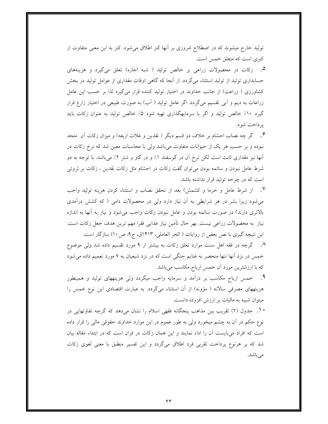تولید خارج میشوند که در اصطلاح امروزی بر آنها کنز اطلاق میشود. کنز به این معنی متفاوت از کنزی است که متعلق خمس است.

۵. زکات در محصولات زراعی بر خالص تولید ( شبه اجاره) تعلق میگیرد و هزینههای حسابداری تولید از تولید استثناء میگردد. از آنجا که گاهی اوقات مقداری از عوامل تولید در بخش کشاورزی ( زراعت) از جانب خداوند در اختیار تولید کننده قرار میگیرد لذا بر حسب این عامل زراعات به دیم و أبی تقسیم میگردد. اگر عامل تولید ( أب) به صورت طبیعی در اختیار زارع قرار گیرد ۱۰٪ خالص تولید و اگر با سرمایهگذاری تهیه شود ۵٪ خالص تولید به عنوان زکات باید ير داخت شود.

۶. گر چه نصاب احشام بر خلاف دو قسم دیگر ( نقدین و غلات اربعه) و میزان زکات آن متحد نبوده و بر حسب هر یک از حیوانات متفاوت میباشد ولی با محاسبات معین شد که نرخ زکات در آنها نیز مقداری ثابت است لکن نرخ آن در گوسفند ۱٪ و در گاو و شتر ۲٪ میباشد. با توجه به دو شرط عامل نبودن و سائمه بودن میٍتوان گفت زکات در احشام مثل زکات نقدین ، زکات بر ثروتی است که در چرخه تولید قرار نداشته باشد.

V. از شرط عامل و خرما و کشمش) بعد از تحقق نصاب و استثناء کردن هزینه تولید واجب میشود زیرا بشر در هر شرایطی به آن نیاز دارد ولی در محصولات دامی ( که کشش درآمدی بالاتری دارند) در صورت سائمه بودن و عامل نبودن زکات واجب میشود و نیاز به آنها به اندازه نیاز به محصولات زراعی نیست. بهر حال تأمین نیاز غذایی فقرا مهم ترین هدف جعل زکات است. این نتیجه گیری با نص بعض از روایات ( الحر العاملی، ۱۴۱۳ق، ج۹، ص۱۰) سازگار است.

۸. گرچه در فقه اهل سنت موارد تعلق زکات به بیشتر از ۹ مورد تقسیم داده شد ولی موضوع خمس در نزد آنها تنها منحصر به غنایم جنگی است که در نزد شیعیان به ۷ مورد تعمیم داده می شود که با ارزشترین مورد آن خمس ارباح مکاسب میباشد.

۹. خمس ارباح مکاسب بر درآمد و سرمایه واجب میگردد ولی هزینههای تولید و همینطور هزینههای مصرفی سالانه ( مؤونه) از آن استثناء میگردد. به عبارت اقتصادی این نوع خمس را میتوان شبیه به مالیات بر ارزش افزوده دانست.

• ۱. جدول (۲) تقریب بین مذاهب پنجگانه فقهی اسلام را نشان میدهد که گرچه تفاوتهایی در نوع حکم در آن به چشم میخورد ولی به طور عموم در این موارد خداوند حقوقی مالی را قرار داده است که افراد می بایست آن را اداء نمایند و این همان زکات در قران است که در ابتداء مقاله بیان شد که بر هرنوع پرداخت تقربی فرد اطلاق میگردد و این تفسیر منطبق با معنی لغوی زکات مے باشد.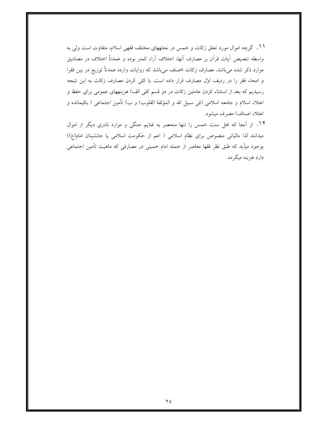۱۱. گرچه اموال مورد تعلق زکات و خمس در نحلههای مختلف فقهی اسلام، متفاوت است ولی به واسطه تنصيص آيات قرآن بر مصارف أنها، اختلاف أراء كمتر بوده و عمدتاً اختلاف در مصاديق موارد ذکر شده میباشد. مصارف زکات ۸صنف میباشد که روایات وارده عمدتاً توزیع در بین فقرا و امحاء فقر را در ردیف اول مصارف قرار داده است. با کلی کردن مصارف زکات به این نتیجه رسیدیم که بعد از استثناء کردن عاملین زکات در دو قسم کلی الف) هزینههای عمومی برای حفظ و اعتلاء اسلام و جامعه اسلامی (فی سبیل الله و المؤلفهٔ القلوب) و ب) تأمین اجتماعی ( باقیمانده و اعتلاء اصناف) مصرف میشود.

۱۲. از آنجا که اهل سنت خمس را تنها منحصر به غنایم جنگی و موارد نادری دیگر از اموال میدانند لذا مالیاتی منصوص برای نظام اسلامی ( اعم از حکومت اسلامی یا جانشینان امام(ع)) بوجود میآید که طبق نظر فقها معاصر از جمله امام خمینی در مصارفی که ماهیت تأمین اجتماعی دارد هزینه میگردد.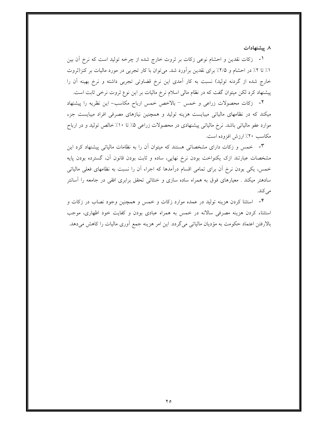۸ ييشنهادات

۱- زكات نقدين و احشام نوعي زكات بر ثروت خارج شده از چرخه توليد است كه نرخ آن بين ١٪ تا ٢٪ در احشام و ٢/٥٪ براي نقدين برأورد شد. مي توان با كار تجربي در مورد ماليات بر كنز(ثروت خارج شده از گردنه تولید) نسبت به کار آمدی این نرخ قضاوتی تجربی داشته و نرخ بهینه آن را پیشنهاد کرد لکن میتوان گفت که در نظام مالی اسلام نرخ مالیات بر این نوع ثروت نرخی ثابت است.

٢- زكات محصولات زراعى و خمس – بالاخص خمس ارباح مكاسب- اين نظريه را پيشنهاد میکند که در نظامهای مالیاتی میبایست هزینه تولید و همچنین نیازهای مصرفی افراد میبایست جزء موارد عفو مالیاتی باشد. نرخ مالیاتی پیشنهادی در محصولات زراعی ۵٪ تا ۱۰٪ خالص تولید و در ارباح مكاسب ٢٠٪ ارزش افزوده است.

۴- خمس و زکات دارای مشخصاتی هستند که میتوان آن را به نظامات مالیاتی پیشنهاد کرد این مشخصات عبارتند ازک يکنواخت بودن نرخ نهايى، ساده و ثابت بودن قانون آن، گسترده بودن پايه خمس، یکی بودن نرخ آن برای تمامی اقسام درآمدها که اجراء آن را نسبت به نظامهای فعلی مالیاتی سادهتر میکند . معیارهای فوق به همراه ساده سازی و خنثائی تحقق برابری افقی در جامعه را آسانتر می کند.

۴- استثنا کردن هزینه تولید در عمده موارد زکات و خمس و همچنین وجود نصاب در زکات و استثناء کردن هزینه مصرفی سالانه در خمس به همراه عبادی بودن و کفایت خود اظهاری، موجب بالارفتن اعتماد حکومت به مؤدیان مالیاتی میگردد. این امر هزینه جمع اَوری مالیات را کاهش میدهد.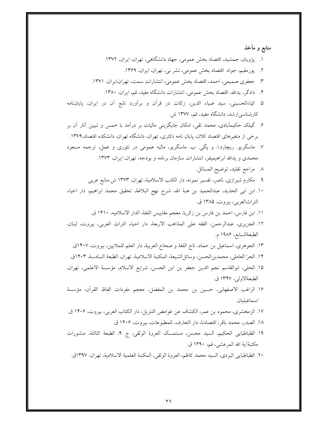| منابع و مآخذ                                                                                    |  |
|-------------------------------------------------------------------------------------------------|--|
| ۱.  پژویان، جمشید، اقتصاد بخش عمومی، جهاد دانشگاهی، تهران، ایران، ۱۳۷۲.                         |  |
| ۲.   پورمقیم، جواد. اقتصاد بخش عمومی، نشر نی، تهران، ایران، ۱۳۶۹.                               |  |
| ۳. جعفری صمیمی، احمد، اقتصاد بخش عمومی، انتشارات سمت، تهران،ایران، ۱۳۷۱.                        |  |
| ۴.   دادگر، یدالله، اقتصاد بخش عمومی، انتشارات دانشگاه مفید، قم، ایران، ۱۳۸۰.                   |  |
| ۵. کیاءالحسینی، سید ضیاء الدین، زکات در قرآن و برآورد تابع آن در ایران، پایاننامه               |  |
| کارشناسی رشد، دانشگاه مفید، قم، ۱۳۷۷ ش.                                                         |  |
| ۶. گیلک حکیمآبادی، محمد تقی، امکان جایگزینی مالیات بر درآمد با خمس و تبیین آثار آن بر           |  |
| برخی از متغیرهای اقتصاد کلان، پایان نامه دکتری، تهران، دانشگاه تهران، دانشکده اقتصاد،۱۳۷۹.      |  |
| ۷. ماسگریو. ریچارد.ا. و پگی. ب. ماسگریو، مالیه عمومی در تئوری و عمل، ترجمه مسعود                |  |
| محمدی و یدالله ابراهیمیفر، انتشارات سازمان برنامه و بودجه، تهران، ایران، ۱۳۷۳.                  |  |
| ٨ مراجع تقليد، توضيح المسائل.                                                                   |  |
| ۹.   مکارم شیرازی، ناصر، تفسیر نمونه، دار الکتب الاسلامیهٔ، تهران، ۱۳۷۳ ش.منابع عربی            |  |
| ١٠. ابن ابي الحديد، عبدالحميد بن هبهٔ الله، شرح نهج البلاغهٔ، تحقيق محمد ابراهيم، دار احياء     |  |
| التراثالعربي، بيروت، ١٣٨۵ ق.                                                                    |  |
| ١١. ابن فارس، احمد بن فارس بن زكريا، معجم مقاييس اللغة، الدار الاسلاميه، ١۴١٠ ق.                |  |
| ١٢. الجزيرى، عبدالرحمن، الفقه على المذاهب الاربعهْ، دار احياء التراث العربى، بيروت، لبنان،      |  |
| الطبعةالسابع، ١٩٨۶ م.                                                                           |  |
| ١٣. الجوهري، اسماعيل بن حماد، تاج اللغة و صحاح العربية، دار العلم للملايين، بيروت، ١۴٠٧ق.       |  |
| ١۴. الحرّ العاملي، محمدبن لحسن، وسائل لشيعة، المكتبة الاسلامية، تهران، الطبعة السادسة، ١٤٠٣ق.   |  |
| ١۵. الحلي، ابوالقاسم نجم الدين جعفر بن ابن الحسن، شرايع الاسلام، مؤسسهٔ الاعلمي، تهران،         |  |
| الطبعةالاولى، ١٣۴٧ ق.                                                                           |  |
| ١۶. الراغب الاصفهاني، حسين بن محمد بن المفضل، معجم مفردات الفاظ القرآن، مؤسسهٔ                  |  |
| اسماعيليان.                                                                                     |  |
| ١٧. الزمخشري، محمود بن عمر، الكشاف عن غوامض التنزيل، دار الكتاب العربي، بيروت، ١۴٠۶ ق.          |  |
| ١٨. الصدر، محمد باقر، اقتصادنا، دار التعارف، للمطبوعات، بيروت، ١۴٠۶ ق.                          |  |
| ١٩. الطباطبايي الحكيم، السيد محسن، مستمسك العروة الوثقي، ج ٩، الطبعة الثالثة، منشورات           |  |
| مكتبةًآية الله المرعشى، قم، ١٣٩٠ ق.                                                             |  |
| ٢٠. الطباطبايي اليزدي، السيد محمد كاظم، العروة الوثقي، المكتبة العلمية الاسلامية، تهران، ١٣٩٧ق. |  |
|                                                                                                 |  |